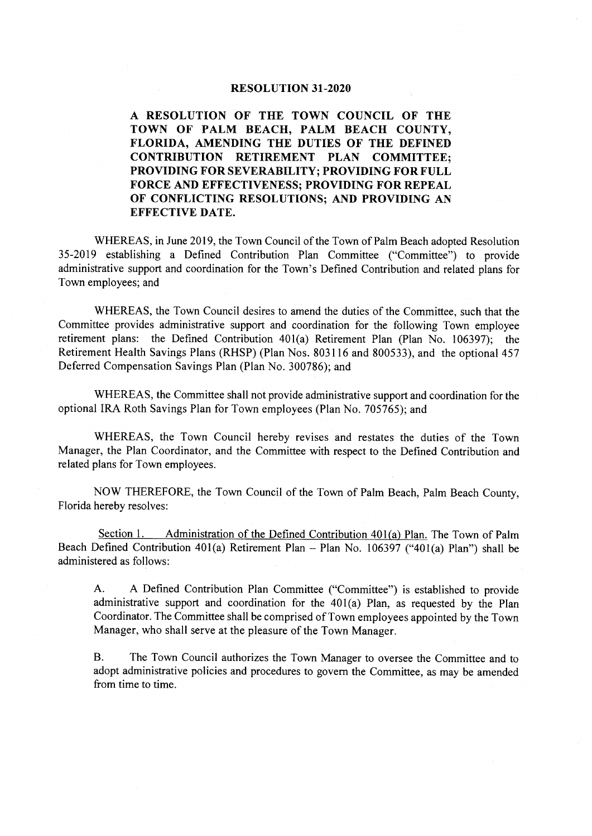## RESOLUTION 31-2020

A RESOLUTION OF THE TOWN COUNCIL OF THE TOWN OF PALM BEACH, PALM BEACH COUNTY, FLORIDA, AMENDING THE DUTIES OF THE DEFINED CONTRIBUTION RETIREMENT PLAN COMMITTEE; PROVIDING FOR SEVERABILITY; PROVIDING FOR FULL FORCE AND EFFECTIVENESS; PROVIDING FOR REPEAL OF CONFLICTING RESOLUTIONS; AND PROVIDING AN EFFECTIVE DATE.

WHEREAS, in June 2019, the Town Council of the Town of Palm Beach adopted Resolution 35- 2019 establishing <sup>a</sup> Defined Contribution Plan Committee (" Committee") to provide administrative support and coordination for the Town's Defined Contribution and related plans for Town employees; and

WHEREAS, the Town Council desires to amend the duties of the Committee, such that the Committee provides administrative support and coordination for the following Town employee retirement plans: the Defined Contribution 401(a) Retirement Plan (Plan No. 106397); the Retirement Health Savings Plans (RHSP) (Plan Nos. 803116 and 800533), and the optional 457 Deferred Compensation Savings Plan (Plan No. 300786); and

WHEREAS, the Committee shall not provide administrative support and coordination for the optional IRA Roth Savings Plan for Town employees (Plan No. 705765); and

WHEREAS, the Town Council hereby revises and restates the duties of the Town Manager, the Plan Coordinator, and the Committee with respect to the Defined Contribution and related plans for Town employees.

NOW THEREFORE, the Town Council of the Town of Palm Beach, Palm Beach County, Florida hereby resolves:

Section 1. Administration of the Defined Contribution 401(a) Plan. The Town of Palm Beach Defined Contribution 401(a) Retirement Plan – Plan No. 106397 ("401(a) Plan") shall be administered as follows:

A. A Defined Contribution Plan Committee ("Committee") is established to provide administrative support and coordination for the  $401(a)$  Plan, as requested by the Plan Coordinator. The Committee shall be comprised of Town employees appointed by the Town Manager, who shall serve at the pleasure of the Town Manager.

B. The Town Council authorizes the Town Manager to oversee the Committee and to adopt administrative policies and procedures to govern the Committee, as may be amended from time to time.